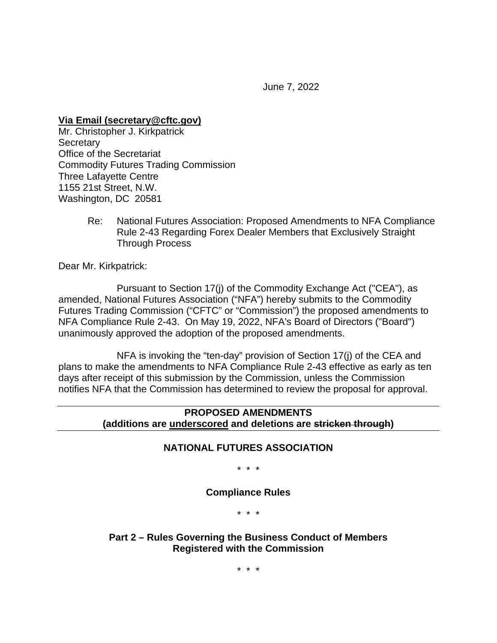June 7, 2022

**Via Email (secretary@cftc.gov)**

Mr. Christopher J. Kirkpatrick **Secretary** Office of the Secretariat Commodity Futures Trading Commission Three Lafayette Centre 1155 21st Street, N.W. Washington, DC 20581

> Re: National Futures Association: Proposed Amendments to NFA Compliance Rule 2-43 Regarding Forex Dealer Members that Exclusively Straight Through Process

Dear Mr. Kirkpatrick:

Pursuant to Section 17(j) of the Commodity Exchange Act ("CEA"), as amended, National Futures Association ("NFA") hereby submits to the Commodity Futures Trading Commission ("CFTC" or "Commission") the proposed amendments to NFA Compliance Rule 2-43. On May 19, 2022, NFA's Board of Directors ("Board") unanimously approved the adoption of the proposed amendments.

NFA is invoking the "ten-day" provision of Section 17(j) of the CEA and plans to make the amendments to NFA Compliance Rule 2-43 effective as early as ten days after receipt of this submission by the Commission, unless the Commission notifies NFA that the Commission has determined to review the proposal for approval.

## **PROPOSED AMENDMENTS (additions are underscored and deletions are stricken through)**

### **NATIONAL FUTURES ASSOCIATION**

\* \* \*

### **Compliance Rules**

\* \* \*

**Part 2 – Rules Governing the Business Conduct of Members Registered with the Commission** 

\* \* \*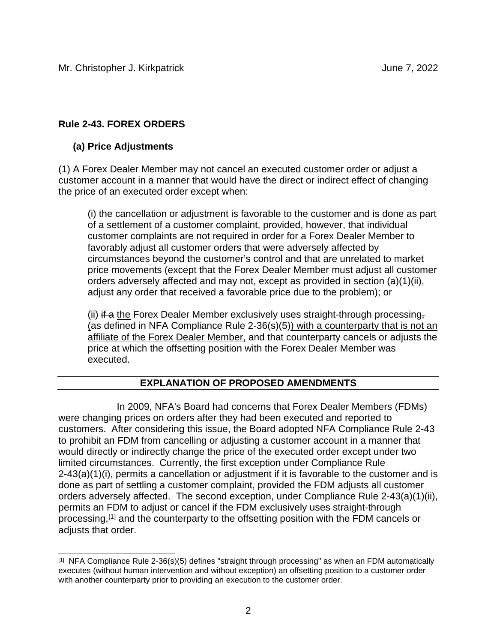# **Rule 2-43. FOREX ORDERS**

## **(a) Price Adjustments**

(1) A Forex Dealer Member may not cancel an executed customer order or adjust a customer account in a manner that would have the direct or indirect effect of changing the price of an executed order except when:

(i) the cancellation or adjustment is favorable to the customer and is done as part of a settlement of a customer complaint, provided, however, that individual customer complaints are not required in order for a Forex Dealer Member to favorably adjust all customer orders that were adversely affected by circumstances beyond the customer's control and that are unrelated to market price movements (except that the Forex Dealer Member must adjust all customer orders adversely affected and may not, except as provided in section (a)(1)(ii), adjust any order that received a favorable price due to the problem); or

(ii) if a the Forex Dealer Member exclusively uses straight-through processing, (as defined in NFA Compliance Rule 2-36(s)(5)) with a counterparty that is not an affiliate of the Forex Dealer Member, and that counterparty cancels or adjusts the price at which the offsetting position with the Forex Dealer Member was executed.

## **EXPLANATION OF PROPOSED AMENDMENTS**

In 2009, NFA's Board had concerns that Forex Dealer Members (FDMs) were changing prices on orders after they had been executed and reported to customers. After considering this issue, the Board adopted NFA Compliance Rule 2-43 to prohibit an FDM from cancelling or adjusting a customer account in a manner that would directly or indirectly change the price of the executed order except under two limited circumstances. Currently, the first exception under Compliance Rule 2-43(a)(1)(i), permits a cancellation or adjustment if it is favorable to the customer and is done as part of settling a customer complaint, provided the FDM adjusts all customer orders adversely affected. The second exception, under Compliance Rule 2-43(a)(1)(ii), permits an FDM to adjust or cancel if the FDM exclusively uses straight-through processing,[1] and the counterparty to the offsetting position with the FDM cancels or adjusts that order.

 $[1]$  NFA Compliance Rule 2-36(s)(5) defines "straight through processing" as when an FDM automatically executes (without human intervention and without exception) an offsetting position to a customer order with another counterparty prior to providing an execution to the customer order.